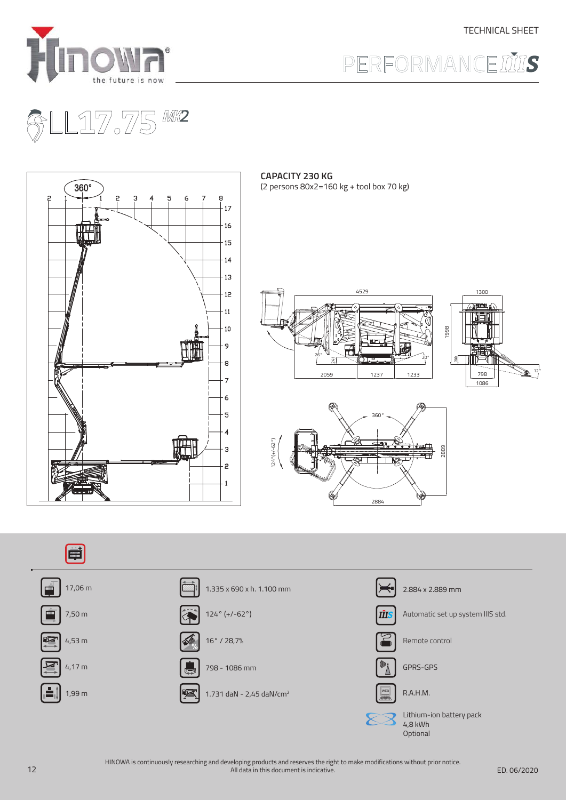











HINOWA is continuously researching and developing products and reserves the right to make modifications without prior notice.<br>12 All data in this document is indicative.